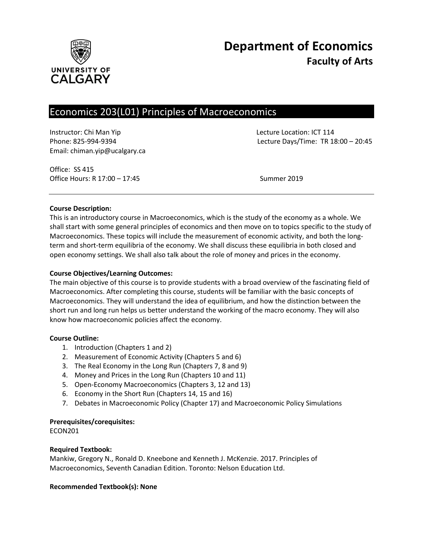

# Economics 203(L01) Principles of Macroeconomics

Instructor: Chi Man Yip Lecture Location: ICT 114 Email: chiman.yip@ucalgary.ca

Phone: 825-994-9394 Lecture Days/Time: TR 18:00 – 20:45

Office: SS 415 Office Hours: R 17:00 – 17:45 Summer 2019

## **Course Description:**

This is an introductory course in Macroeconomics, which is the study of the economy as a whole. We shall start with some general principles of economics and then move on to topics specific to the study of Macroeconomics. These topics will include the measurement of economic activity, and both the longterm and short-term equilibria of the economy. We shall discuss these equilibria in both closed and open economy settings. We shall also talk about the role of money and prices in the economy.

## **Course Objectives/Learning Outcomes:**

The main objective of this course is to provide students with a broad overview of the fascinating field of Macroeconomics. After completing this course, students will be familiar with the basic concepts of Macroeconomics. They will understand the idea of equilibrium, and how the distinction between the short run and long run helps us better understand the working of the macro economy. They will also know how macroeconomic policies affect the economy.

## **Course Outline:**

- 1. Introduction (Chapters 1 and 2)
- 2. Measurement of Economic Activity (Chapters 5 and 6)
- 3. The Real Economy in the Long Run (Chapters 7, 8 and 9)
- 4. Money and Prices in the Long Run (Chapters 10 and 11)
- 5. Open-Economy Macroeconomics (Chapters 3, 12 and 13)
- 6. Economy in the Short Run (Chapters 14, 15 and 16)
- 7. Debates in Macroeconomic Policy (Chapter 17) and Macroeconomic Policy Simulations

## **Prerequisites/corequisites:**

ECON201

## **Required Textbook:**

Mankiw, Gregory N., Ronald D. Kneebone and Kenneth J. McKenzie. 2017. Principles of Macroeconomics, Seventh Canadian Edition. Toronto: Nelson Education Ltd.

## **Recommended Textbook(s): None**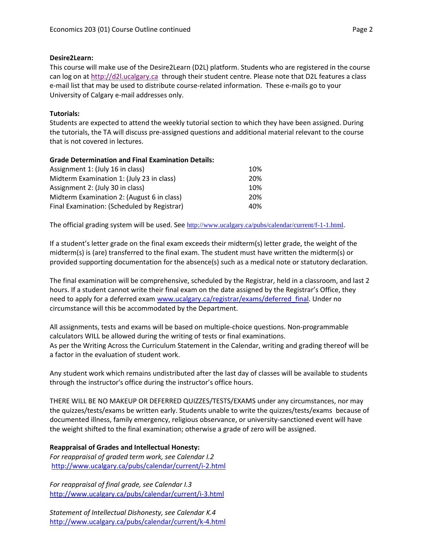## **Desire2Learn:**

This course will make use of the Desire2Learn (D2L) platform. Students who are registered in the course can log on a[t http://d2l.ucalgary.ca](http://d2l.ucalgary.ca/) through their student centre. Please note that D2L features a class e-mail list that may be used to distribute course-related information. These e-mails go to your University of Calgary e-mail addresses only.

## **Tutorials:**

Students are expected to attend the weekly tutorial section to which they have been assigned. During the tutorials, the TA will discuss pre-assigned questions and additional material relevant to the course that is not covered in lectures.

## **Grade Determination and Final Examination Details:**

| Assignment 1: (July 16 in class)            | 10% |
|---------------------------------------------|-----|
| Midterm Examination 1: (July 23 in class)   | 20% |
| Assignment 2: (July 30 in class)            | 10% |
| Midterm Examination 2: (August 6 in class)  | 20% |
| Final Examination: (Scheduled by Registrar) | 40% |

The official grading system will be used. See <http://www.ucalgary.ca/pubs/calendar/current/f-1-1.html>.

If a student's letter grade on the final exam exceeds their midterm(s) letter grade, the weight of the midterm(s) is (are) transferred to the final exam. The student must have written the midterm(s) or provided supporting documentation for the absence(s) such as a medical note or statutory declaration.

The final examination will be comprehensive, scheduled by the Registrar, held in a classroom, and last 2 hours. If a student cannot write their final exam on the date assigned by the Registrar's Office, they need to apply for a deferred exam [www.ucalgary.ca/registrar/exams/deferred\\_final.](http://www.ucalgary.ca/registrar/exams/deferred_final) Under no circumstance will this be accommodated by the Department.

All assignments, tests and exams will be based on multiple-choice questions. Non-programmable calculators WILL be allowed during the writing of tests or final examinations. As per the Writing Across the Curriculum Statement in the Calendar, writing and grading thereof will be a factor in the evaluation of student work.

Any student work which remains undistributed after the last day of classes will be available to students through the instructor's office during the instructor's office hours.

THERE WILL BE NO MAKEUP OR DEFERRED QUIZZES/TESTS/EXAMS under any circumstances, nor may the quizzes/tests/exams be written early. Students unable to write the quizzes/tests/exams because of documented illness, family emergency, religious observance, or university-sanctioned event will have the weight shifted to the final examination; otherwise a grade of zero will be assigned.

## **Reappraisal of Grades and Intellectual Honesty:**

*For reappraisal of graded term work, see Calendar I.2* <http://www.ucalgary.ca/pubs/calendar/current/i-2.html>

*For reappraisal of final grade, see Calendar I.3* <http://www.ucalgary.ca/pubs/calendar/current/i-3.html>

*Statement of Intellectual Dishonesty, see Calendar K.4* <http://www.ucalgary.ca/pubs/calendar/current/k-4.html>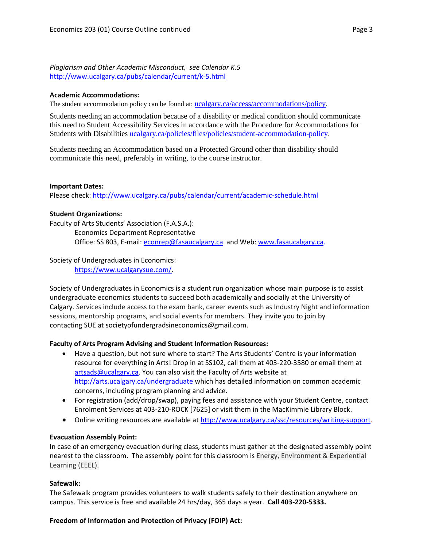*Plagiarism and Other Academic Misconduct, see Calendar K.5* <http://www.ucalgary.ca/pubs/calendar/current/k-5.html>

### **Academic Accommodations:**

The student accommodation policy can be found at: [ucalgary.ca/access/accommodations/policy](http://www.ucalgary.ca/access/accommodations/policy).

Students needing an accommodation because of a disability or medical condition should communicate this need to Student Accessibility Services in accordance with the Procedure for Accommodations for Students with Disabilities [ucalgary.ca/policies/files/policies/student-accommodation-policy.](http://www.ucalgary.ca/policies/files/policies/student-accommodation-policy.pdf)

Students needing an Accommodation based on a Protected Ground other than disability should communicate this need, preferably in writing, to the course instructor.

### **Important Dates:**

Please check:<http://www.ucalgary.ca/pubs/calendar/current/academic-schedule.html>

### **Student Organizations:**

Faculty of Arts Students' Association (F.A.S.A.): Economics Department Representative Office: SS 803, E-mail: [econrep@fasaucalgary.ca](mailto:econrep@fasaucalgary.ca) and Web[: www.fasaucalgary.ca.](http://www.fasaucalgary.ca/)

Society of Undergraduates in Economics:

[https://www.ucalgarysue.com/.](https://www.ucalgarysue.com/)

Society of Undergraduates in Economics is a student run organization whose main purpose is to assist undergraduate economics students to succeed both academically and socially at the University of Calgary. Services include access to the exam bank, career events such as Industry Night and information sessions, mentorship programs, and social events for members. They invite you to join by contacting SUE at societyofundergradsineconomics@gmail.com.

## **Faculty of Arts Program Advising and Student Information Resources:**

- Have a question, but not sure where to start? The Arts Students' Centre is your information resource for everything in Arts! Drop in at SS102, call them at 403-220-3580 or email them at [artsads@ucalgary.ca.](mailto:artsads@ucalgary.ca) You can also visit the Faculty of Arts website at <http://arts.ucalgary.ca/undergraduate> which has detailed information on common academic concerns, including program planning and advice.
- For registration (add/drop/swap), paying fees and assistance with your Student Centre, contact Enrolment Services at 403-210-ROCK [7625] or visit them in the MacKimmie Library Block.
- Online writing resources are available at [http://www.ucalgary.ca/ssc/resources/writing-support.](http://www.ucalgary.ca/ssc/resources/writing-support)

### **Evacuation Assembly Point:**

In case of an emergency evacuation during class, students must gather at the designated assembly point nearest to the classroom. The assembly point for this classroom is Energy, Environment & Experiential Learning (EEEL).

### **Safewalk:**

The Safewalk program provides volunteers to walk students safely to their destination anywhere on campus. This service is free and available 24 hrs/day, 365 days a year. **Call 403-220-5333.**

## **Freedom of Information and Protection of Privacy (FOIP) Act:**